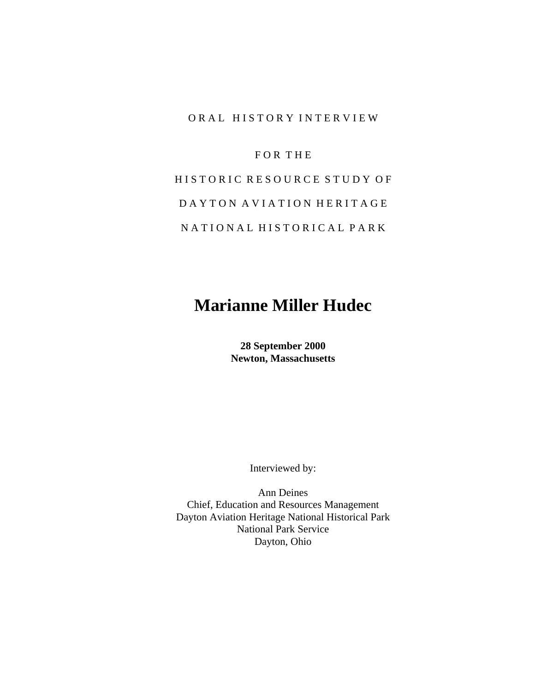#### ORAL HISTORY INTERVIEW

#### F O R T H E

# HISTORIC RESOURCE STUDY OF D A Y T O N A V I A T I O N H E R I T A G E N A T I O N A L H I S T O R I C A L P A R K

## **Marianne Miller Hudec**

**28 September 2000 Newton, Massachusetts**

Interviewed by:

 Ann Deines Chief, Education and Resources Management Dayton Aviation Heritage National Historical Park National Park Service Dayton, Ohio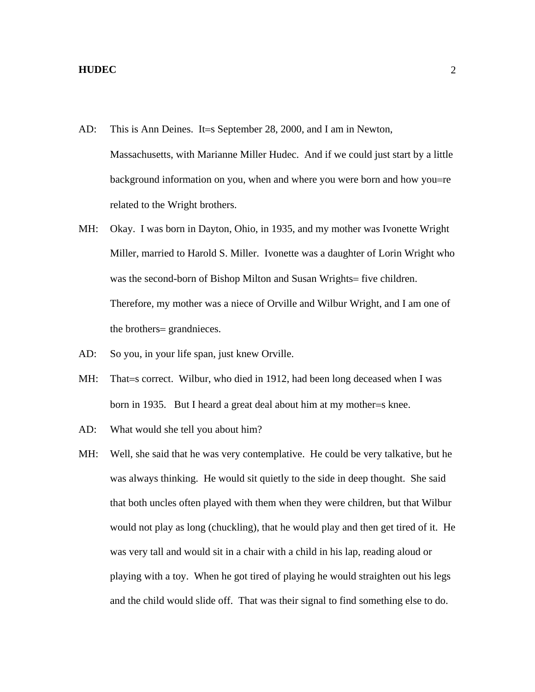- AD: This is Ann Deines. It=s September 28, 2000, and I am in Newton, Massachusetts, with Marianne Miller Hudec. And if we could just start by a little background information on you, when and where you were born and how you=re related to the Wright brothers.
- MH: Okay. I was born in Dayton, Ohio, in 1935, and my mother was Ivonette Wright Miller, married to Harold S. Miller. Ivonette was a daughter of Lorin Wright who was the second-born of Bishop Milton and Susan Wrights= five children. Therefore, my mother was a niece of Orville and Wilbur Wright, and I am one of the brothers= grandnieces.
- AD: So you, in your life span, just knew Orville.
- MH: That=s correct. Wilbur, who died in 1912, had been long deceased when I was born in 1935. But I heard a great deal about him at my mother=s knee.
- AD: What would she tell you about him?
- MH: Well, she said that he was very contemplative. He could be very talkative, but he was always thinking. He would sit quietly to the side in deep thought. She said that both uncles often played with them when they were children, but that Wilbur would not play as long (chuckling), that he would play and then get tired of it. He was very tall and would sit in a chair with a child in his lap, reading aloud or playing with a toy. When he got tired of playing he would straighten out his legs and the child would slide off. That was their signal to find something else to do.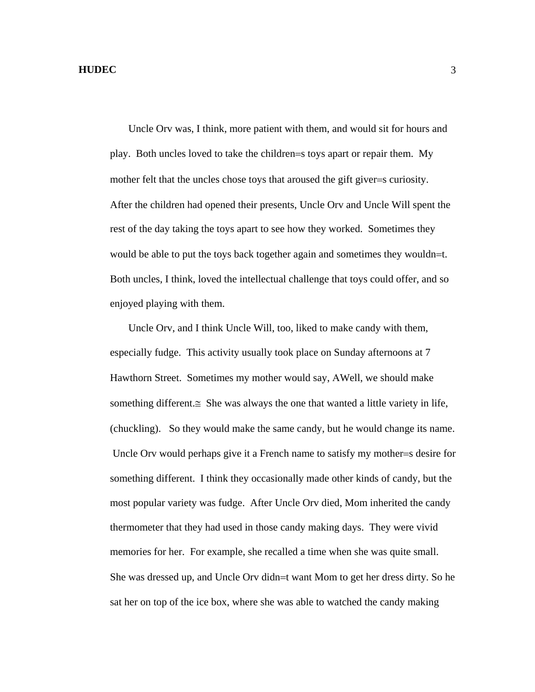Uncle Orv was, I think, more patient with them, and would sit for hours and play. Both uncles loved to take the children=s toys apart or repair them. My mother felt that the uncles chose toys that aroused the gift giver=s curiosity. After the children had opened their presents, Uncle Orv and Uncle Will spent the rest of the day taking the toys apart to see how they worked. Sometimes they would be able to put the toys back together again and sometimes they wouldn=t. Both uncles, I think, loved the intellectual challenge that toys could offer, and so enjoyed playing with them.

 Uncle Orv, and I think Uncle Will, too, liked to make candy with them, especially fudge. This activity usually took place on Sunday afternoons at 7 Hawthorn Street. Sometimes my mother would say, ΑWell, we should make something different. $\cong$  She was always the one that wanted a little variety in life, (chuckling). So they would make the same candy, but he would change its name. Uncle Orv would perhaps give it a French name to satisfy my mother=s desire for something different. I think they occasionally made other kinds of candy, but the most popular variety was fudge. After Uncle Orv died, Mom inherited the candy thermometer that they had used in those candy making days. They were vivid memories for her. For example, she recalled a time when she was quite small. She was dressed up, and Uncle Orv didn=t want Mom to get her dress dirty. So he sat her on top of the ice box, where she was able to watched the candy making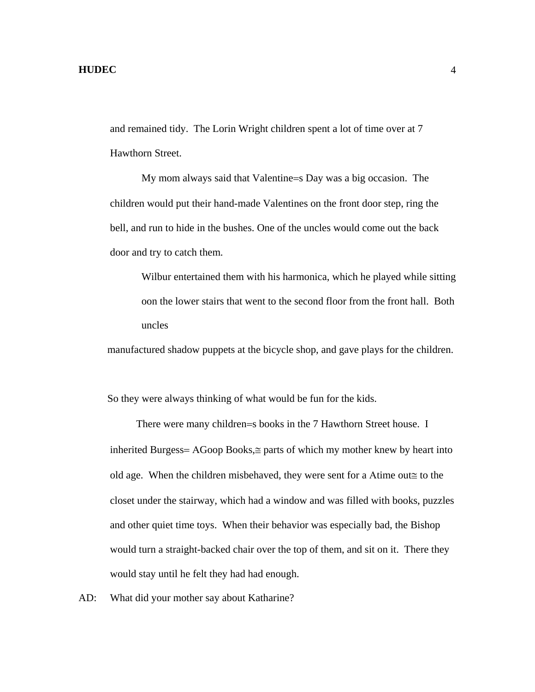and remained tidy. The Lorin Wright children spent a lot of time over at 7 Hawthorn Street.

My mom always said that Valentine=s Day was a big occasion. The children would put their hand-made Valentines on the front door step, ring the bell, and run to hide in the bushes. One of the uncles would come out the back door and try to catch them.

Wilbur entertained them with his harmonica, which he played while sitting oon the lower stairs that went to the second floor from the front hall. Both uncles

manufactured shadow puppets at the bicycle shop, and gave plays for the children.

So they were always thinking of what would be fun for the kids.

 There were many children=s books in the 7 Hawthorn Street house. I inherited Burgess= ΑGoop Books,≅ parts of which my mother knew by heart into old age. When the children misbehaved, they were sent for a Αtime out≅ to the closet under the stairway, which had a window and was filled with books, puzzles and other quiet time toys. When their behavior was especially bad, the Bishop would turn a straight-backed chair over the top of them, and sit on it. There they would stay until he felt they had had enough.

AD: What did your mother say about Katharine?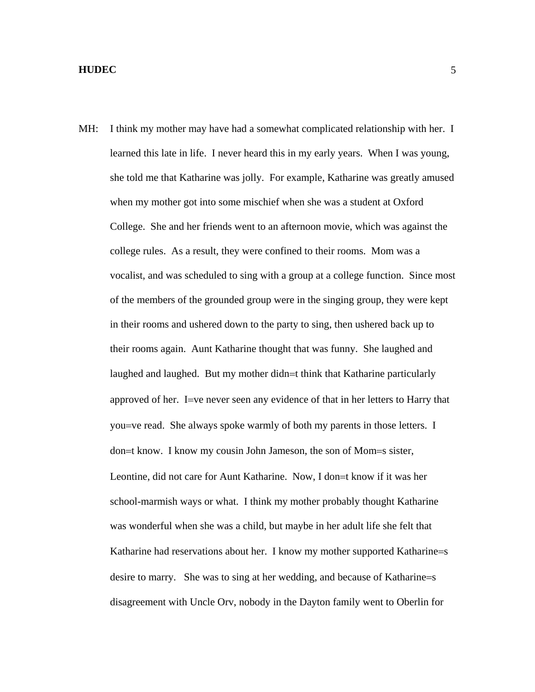MH: I think my mother may have had a somewhat complicated relationship with her. I learned this late in life. I never heard this in my early years. When I was young, she told me that Katharine was jolly. For example, Katharine was greatly amused when my mother got into some mischief when she was a student at Oxford College. She and her friends went to an afternoon movie, which was against the college rules. As a result, they were confined to their rooms. Mom was a vocalist, and was scheduled to sing with a group at a college function. Since most of the members of the grounded group were in the singing group, they were kept in their rooms and ushered down to the party to sing, then ushered back up to their rooms again. Aunt Katharine thought that was funny. She laughed and laughed and laughed. But my mother didn=t think that Katharine particularly approved of her. I=ve never seen any evidence of that in her letters to Harry that you=ve read. She always spoke warmly of both my parents in those letters. I don=t know. I know my cousin John Jameson, the son of Mom=s sister, Leontine, did not care for Aunt Katharine. Now, I don=t know if it was her school-marmish ways or what. I think my mother probably thought Katharine was wonderful when she was a child, but maybe in her adult life she felt that Katharine had reservations about her. I know my mother supported Katharine=s desire to marry. She was to sing at her wedding, and because of Katharine=s disagreement with Uncle Orv, nobody in the Dayton family went to Oberlin for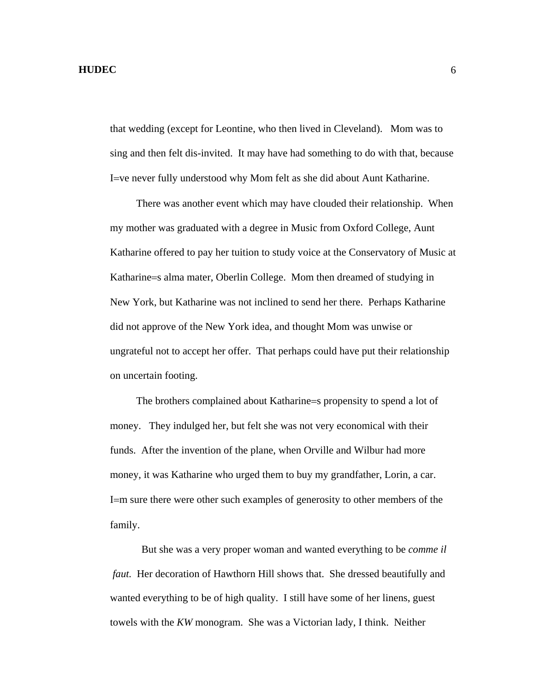that wedding (except for Leontine, who then lived in Cleveland). Mom was to sing and then felt dis-invited. It may have had something to do with that, because I=ve never fully understood why Mom felt as she did about Aunt Katharine.

 There was another event which may have clouded their relationship. When my mother was graduated with a degree in Music from Oxford College, Aunt Katharine offered to pay her tuition to study voice at the Conservatory of Music at Katharine=s alma mater, Oberlin College. Mom then dreamed of studying in New York, but Katharine was not inclined to send her there. Perhaps Katharine did not approve of the New York idea, and thought Mom was unwise or ungrateful not to accept her offer. That perhaps could have put their relationship on uncertain footing.

 The brothers complained about Katharine=s propensity to spend a lot of money. They indulged her, but felt she was not very economical with their funds. After the invention of the plane, when Orville and Wilbur had more money, it was Katharine who urged them to buy my grandfather, Lorin, a car. I=m sure there were other such examples of generosity to other members of the family.

But she was a very proper woman and wanted everything to be *comme il faut.* Her decoration of Hawthorn Hill shows that. She dressed beautifully and wanted everything to be of high quality. I still have some of her linens, guest towels with the *KW* monogram. She was a Victorian lady, I think. Neither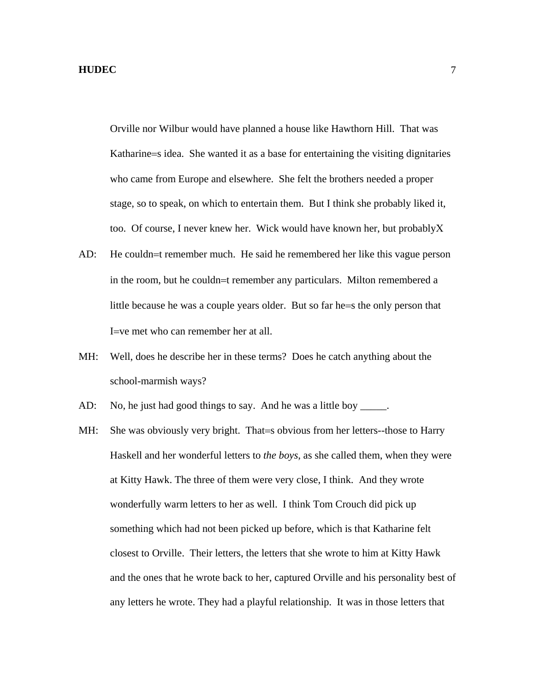Orville nor Wilbur would have planned a house like Hawthorn Hill. That was Katharine=s idea. She wanted it as a base for entertaining the visiting dignitaries who came from Europe and elsewhere. She felt the brothers needed a proper stage, so to speak, on which to entertain them. But I think she probably liked it, too. Of course, I never knew her. Wick would have known her, but probablyΧ

- AD: He couldn=t remember much. He said he remembered her like this vague person in the room, but he couldn=t remember any particulars. Milton remembered a little because he was a couple years older. But so far he=s the only person that I=ve met who can remember her at all.
- MH: Well, does he describe her in these terms? Does he catch anything about the school-marmish ways?
- AD: No, he just had good things to say. And he was a little boy \_\_\_\_\_.
- MH: She was obviously very bright. That=s obvious from her letters--those to Harry Haskell and her wonderful letters to *the boys*, as she called them, when they were at Kitty Hawk. The three of them were very close, I think. And they wrote wonderfully warm letters to her as well. I think Tom Crouch did pick up something which had not been picked up before, which is that Katharine felt closest to Orville. Their letters, the letters that she wrote to him at Kitty Hawk and the ones that he wrote back to her, captured Orville and his personality best of any letters he wrote. They had a playful relationship. It was in those letters that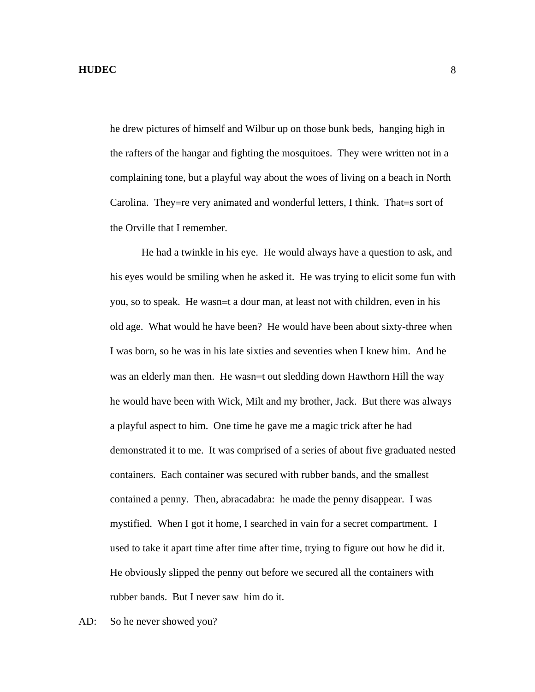he drew pictures of himself and Wilbur up on those bunk beds, hanging high in the rafters of the hangar and fighting the mosquitoes. They were written not in a complaining tone, but a playful way about the woes of living on a beach in North Carolina. They=re very animated and wonderful letters, I think. That=s sort of the Orville that I remember.

He had a twinkle in his eye. He would always have a question to ask, and his eyes would be smiling when he asked it. He was trying to elicit some fun with you, so to speak. He wasn=t a dour man, at least not with children, even in his old age. What would he have been? He would have been about sixty-three when I was born, so he was in his late sixties and seventies when I knew him. And he was an elderly man then. He wasn=t out sledding down Hawthorn Hill the way he would have been with Wick, Milt and my brother, Jack. But there was always a playful aspect to him. One time he gave me a magic trick after he had demonstrated it to me. It was comprised of a series of about five graduated nested containers. Each container was secured with rubber bands, and the smallest contained a penny. Then, abracadabra: he made the penny disappear. I was mystified. When I got it home, I searched in vain for a secret compartment. I used to take it apart time after time after time, trying to figure out how he did it. He obviously slipped the penny out before we secured all the containers with rubber bands. But I never saw him do it.

AD: So he never showed you?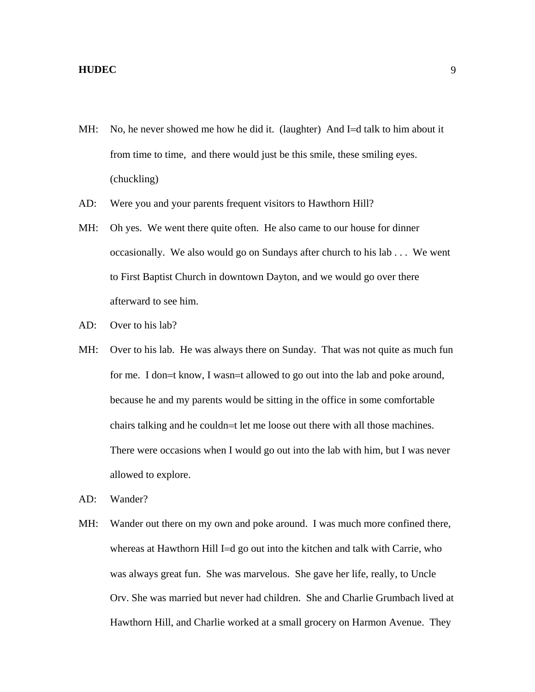- MH: No, he never showed me how he did it. (laughter) And I=d talk to him about it from time to time, and there would just be this smile, these smiling eyes. (chuckling)
- AD: Were you and your parents frequent visitors to Hawthorn Hill?
- MH: Oh yes. We went there quite often. He also came to our house for dinner occasionally. We also would go on Sundays after church to his lab . . . We went to First Baptist Church in downtown Dayton, and we would go over there afterward to see him.
- AD: Over to his lab?
- MH: Over to his lab. He was always there on Sunday. That was not quite as much fun for me. I don=t know, I wasn=t allowed to go out into the lab and poke around, because he and my parents would be sitting in the office in some comfortable chairs talking and he couldn=t let me loose out there with all those machines. There were occasions when I would go out into the lab with him, but I was never allowed to explore.
- AD: Wander?
- MH: Wander out there on my own and poke around. I was much more confined there, whereas at Hawthorn Hill I=d go out into the kitchen and talk with Carrie, who was always great fun. She was marvelous. She gave her life, really, to Uncle Orv. She was married but never had children. She and Charlie Grumbach lived at Hawthorn Hill, and Charlie worked at a small grocery on Harmon Avenue. They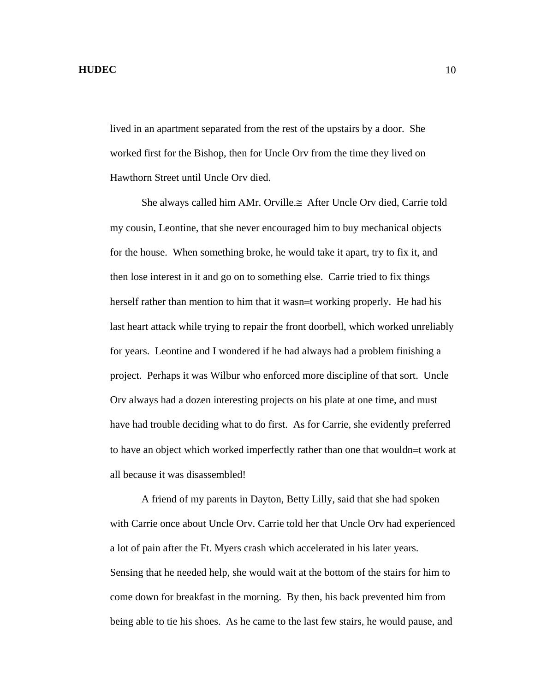lived in an apartment separated from the rest of the upstairs by a door. She worked first for the Bishop, then for Uncle Orv from the time they lived on Hawthorn Street until Uncle Orv died.

 She always called him ΑMr. Orville.≅ After Uncle Orv died, Carrie told my cousin, Leontine, that she never encouraged him to buy mechanical objects for the house. When something broke, he would take it apart, try to fix it, and then lose interest in it and go on to something else. Carrie tried to fix things herself rather than mention to him that it wasn=t working properly. He had his last heart attack while trying to repair the front doorbell, which worked unreliably for years. Leontine and I wondered if he had always had a problem finishing a project. Perhaps it was Wilbur who enforced more discipline of that sort. Uncle Orv always had a dozen interesting projects on his plate at one time, and must have had trouble deciding what to do first. As for Carrie, she evidently preferred to have an object which worked imperfectly rather than one that wouldn=t work at all because it was disassembled!

 A friend of my parents in Dayton, Betty Lilly, said that she had spoken with Carrie once about Uncle Orv. Carrie told her that Uncle Orv had experienced a lot of pain after the Ft. Myers crash which accelerated in his later years. Sensing that he needed help, she would wait at the bottom of the stairs for him to come down for breakfast in the morning. By then, his back prevented him from being able to tie his shoes. As he came to the last few stairs, he would pause, and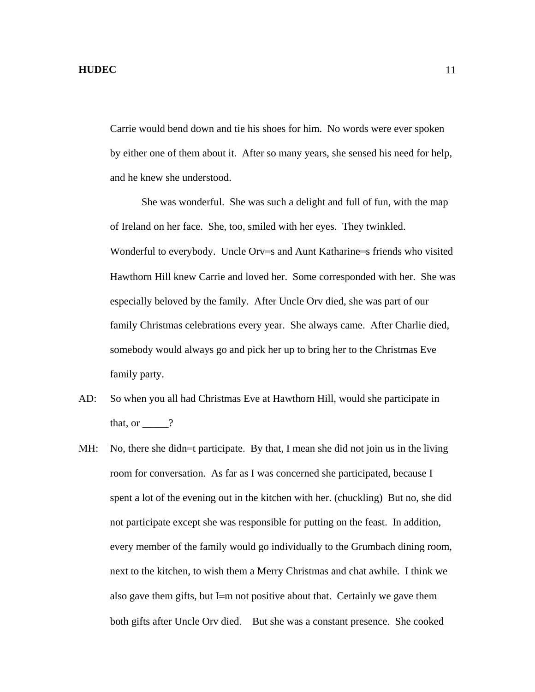Carrie would bend down and tie his shoes for him. No words were ever spoken by either one of them about it. After so many years, she sensed his need for help, and he knew she understood.

 She was wonderful. She was such a delight and full of fun, with the map of Ireland on her face. She, too, smiled with her eyes. They twinkled. Wonderful to everybody. Uncle Orv=s and Aunt Katharine=s friends who visited Hawthorn Hill knew Carrie and loved her. Some corresponded with her. She was especially beloved by the family. After Uncle Orv died, she was part of our family Christmas celebrations every year. She always came. After Charlie died, somebody would always go and pick her up to bring her to the Christmas Eve family party.

- AD: So when you all had Christmas Eve at Hawthorn Hill, would she participate in that, or  $\qquad$  ?
- MH: No, there she didn=t participate. By that, I mean she did not join us in the living room for conversation. As far as I was concerned she participated, because I spent a lot of the evening out in the kitchen with her. (chuckling) But no, she did not participate except she was responsible for putting on the feast. In addition, every member of the family would go individually to the Grumbach dining room, next to the kitchen, to wish them a Merry Christmas and chat awhile. I think we also gave them gifts, but I=m not positive about that. Certainly we gave them both gifts after Uncle Orv died. But she was a constant presence. She cooked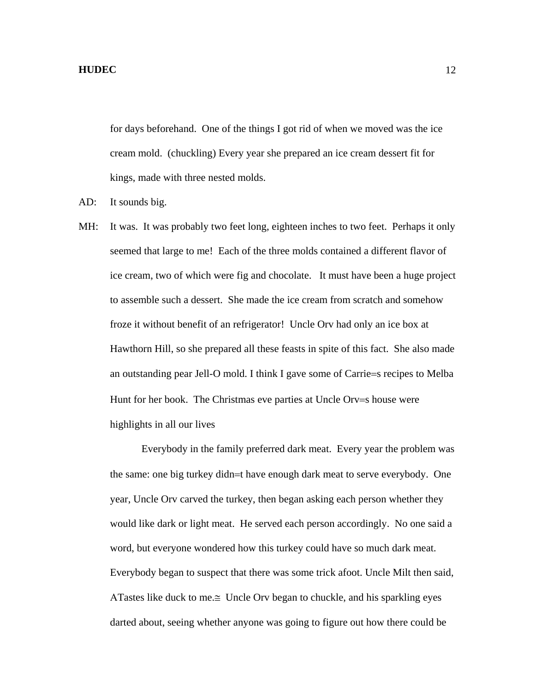for days beforehand. One of the things I got rid of when we moved was the ice cream mold. (chuckling) Every year she prepared an ice cream dessert fit for kings, made with three nested molds.

- AD: It sounds big.
- MH: It was. It was probably two feet long, eighteen inches to two feet. Perhaps it only seemed that large to me! Each of the three molds contained a different flavor of ice cream, two of which were fig and chocolate. It must have been a huge project to assemble such a dessert. She made the ice cream from scratch and somehow froze it without benefit of an refrigerator! Uncle Orv had only an ice box at Hawthorn Hill, so she prepared all these feasts in spite of this fact. She also made an outstanding pear Jell-O mold. I think I gave some of Carrie=s recipes to Melba Hunt for her book. The Christmas eve parties at Uncle Orv=s house were highlights in all our lives

 Everybody in the family preferred dark meat. Every year the problem was the same: one big turkey didn=t have enough dark meat to serve everybody. One year, Uncle Orv carved the turkey, then began asking each person whether they would like dark or light meat. He served each person accordingly. No one said a word, but everyone wondered how this turkey could have so much dark meat. Everybody began to suspect that there was some trick afoot. Uncle Milt then said, ATastes like duck to me.≅ Uncle Orv began to chuckle, and his sparkling eyes darted about, seeing whether anyone was going to figure out how there could be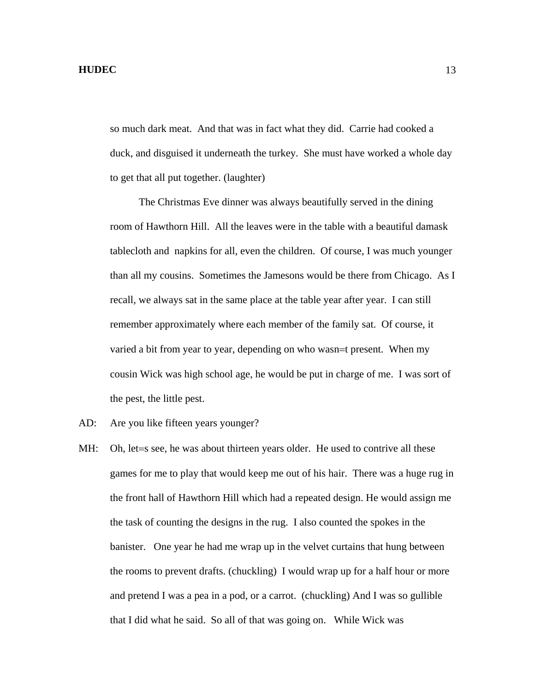so much dark meat. And that was in fact what they did. Carrie had cooked a duck, and disguised it underneath the turkey. She must have worked a whole day to get that all put together. (laughter)

 The Christmas Eve dinner was always beautifully served in the dining room of Hawthorn Hill. All the leaves were in the table with a beautiful damask tablecloth and napkins for all, even the children. Of course, I was much younger than all my cousins. Sometimes the Jamesons would be there from Chicago. As I recall, we always sat in the same place at the table year after year. I can still remember approximately where each member of the family sat. Of course, it varied a bit from year to year, depending on who wasn=t present. When my cousin Wick was high school age, he would be put in charge of me. I was sort of the pest, the little pest.

- AD: Are you like fifteen years younger?
- MH: Oh, let = s see, he was about thirteen years older. He used to contrive all these games for me to play that would keep me out of his hair. There was a huge rug in the front hall of Hawthorn Hill which had a repeated design. He would assign me the task of counting the designs in the rug. I also counted the spokes in the banister. One year he had me wrap up in the velvet curtains that hung between the rooms to prevent drafts. (chuckling) I would wrap up for a half hour or more and pretend I was a pea in a pod, or a carrot. (chuckling) And I was so gullible that I did what he said. So all of that was going on. While Wick was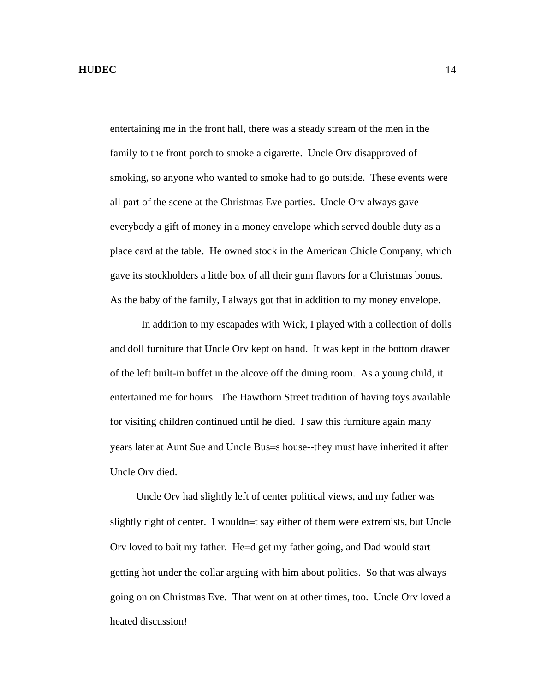entertaining me in the front hall, there was a steady stream of the men in the family to the front porch to smoke a cigarette. Uncle Orv disapproved of smoking, so anyone who wanted to smoke had to go outside. These events were all part of the scene at the Christmas Eve parties. Uncle Orv always gave everybody a gift of money in a money envelope which served double duty as a place card at the table. He owned stock in the American Chicle Company, which gave its stockholders a little box of all their gum flavors for a Christmas bonus. As the baby of the family, I always got that in addition to my money envelope.

 In addition to my escapades with Wick, I played with a collection of dolls and doll furniture that Uncle Orv kept on hand. It was kept in the bottom drawer of the left built-in buffet in the alcove off the dining room. As a young child, it entertained me for hours. The Hawthorn Street tradition of having toys available for visiting children continued until he died. I saw this furniture again many years later at Aunt Sue and Uncle Bus=s house--they must have inherited it after Uncle Orv died.

 Uncle Orv had slightly left of center political views, and my father was slightly right of center. I wouldn=t say either of them were extremists, but Uncle Orv loved to bait my father. He=d get my father going, and Dad would start getting hot under the collar arguing with him about politics. So that was always going on on Christmas Eve. That went on at other times, too. Uncle Orv loved a heated discussion!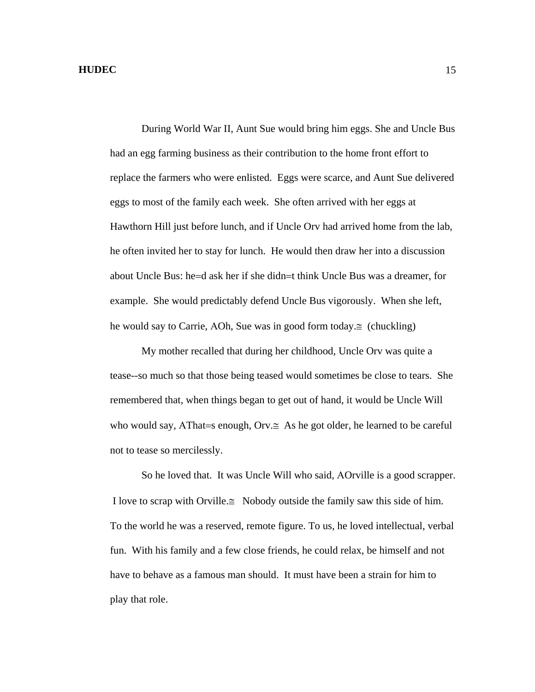During World War II, Aunt Sue would bring him eggs. She and Uncle Bus had an egg farming business as their contribution to the home front effort to replace the farmers who were enlisted. Eggs were scarce, and Aunt Sue delivered eggs to most of the family each week. She often arrived with her eggs at Hawthorn Hill just before lunch, and if Uncle Orv had arrived home from the lab, he often invited her to stay for lunch. He would then draw her into a discussion about Uncle Bus: he=d ask her if she didn=t think Uncle Bus was a dreamer, for example. She would predictably defend Uncle Bus vigorously. When she left, he would say to Carrie, ΑOh, Sue was in good form today.≅ (chuckling)

 My mother recalled that during her childhood, Uncle Orv was quite a tease--so much so that those being teased would sometimes be close to tears. She remembered that, when things began to get out of hand, it would be Uncle Will who would say, ΑThat=s enough, Orv.≅ As he got older, he learned to be careful not to tease so mercilessly.

 So he loved that. It was Uncle Will who said, ΑOrville is a good scrapper. I love to scrap with Orville. $\cong$  Nobody outside the family saw this side of him. To the world he was a reserved, remote figure. To us, he loved intellectual, verbal fun. With his family and a few close friends, he could relax, be himself and not have to behave as a famous man should. It must have been a strain for him to play that role.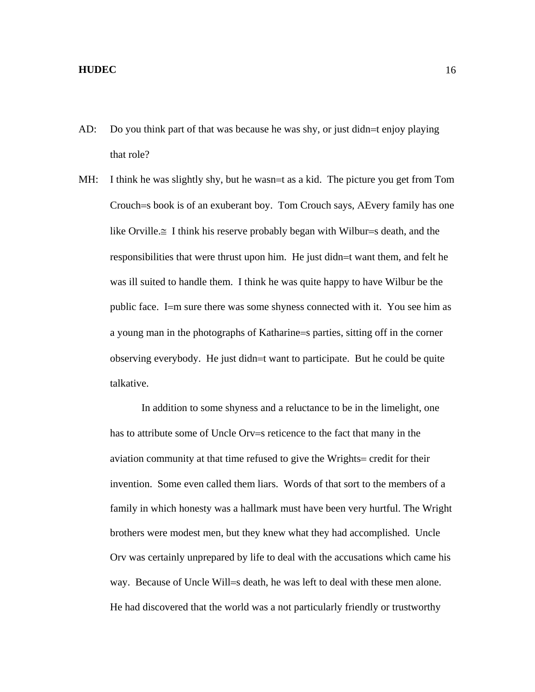- AD: Do you think part of that was because he was shy, or just didn=t enjoy playing that role?
- MH: I think he was slightly shy, but he wasn=t as a kid. The picture you get from Tom Crouch=s book is of an exuberant boy. Tom Crouch says, ΑEvery family has one like Orville.≅ I think his reserve probably began with Wilbur=s death, and the responsibilities that were thrust upon him. He just didn=t want them, and felt he was ill suited to handle them. I think he was quite happy to have Wilbur be the public face. I=m sure there was some shyness connected with it. You see him as a young man in the photographs of Katharine=s parties, sitting off in the corner observing everybody. He just didn=t want to participate. But he could be quite talkative.

 In addition to some shyness and a reluctance to be in the limelight, one has to attribute some of Uncle Orv=s reticence to the fact that many in the aviation community at that time refused to give the Wrights= credit for their invention. Some even called them liars. Words of that sort to the members of a family in which honesty was a hallmark must have been very hurtful. The Wright brothers were modest men, but they knew what they had accomplished. Uncle Orv was certainly unprepared by life to deal with the accusations which came his way. Because of Uncle Will=s death, he was left to deal with these men alone. He had discovered that the world was a not particularly friendly or trustworthy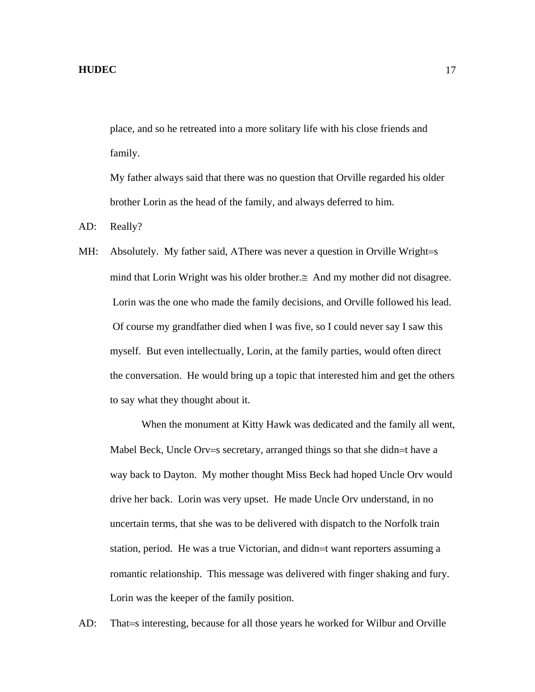place, and so he retreated into a more solitary life with his close friends and family.

My father always said that there was no question that Orville regarded his older brother Lorin as the head of the family, and always deferred to him.

AD: Really?

MH: Absolutely. My father said, AThere was never a question in Orville Wright=s mind that Lorin Wright was his older brother.≅ And my mother did not disagree. Lorin was the one who made the family decisions, and Orville followed his lead. Of course my grandfather died when I was five, so I could never say I saw this myself. But even intellectually, Lorin, at the family parties, would often direct the conversation. He would bring up a topic that interested him and get the others to say what they thought about it.

 When the monument at Kitty Hawk was dedicated and the family all went, Mabel Beck, Uncle Orv=s secretary, arranged things so that she didn=t have a way back to Dayton. My mother thought Miss Beck had hoped Uncle Orv would drive her back. Lorin was very upset. He made Uncle Orv understand, in no uncertain terms, that she was to be delivered with dispatch to the Norfolk train station, period. He was a true Victorian, and didn=t want reporters assuming a romantic relationship. This message was delivered with finger shaking and fury. Lorin was the keeper of the family position.

AD: That=s interesting, because for all those years he worked for Wilbur and Orville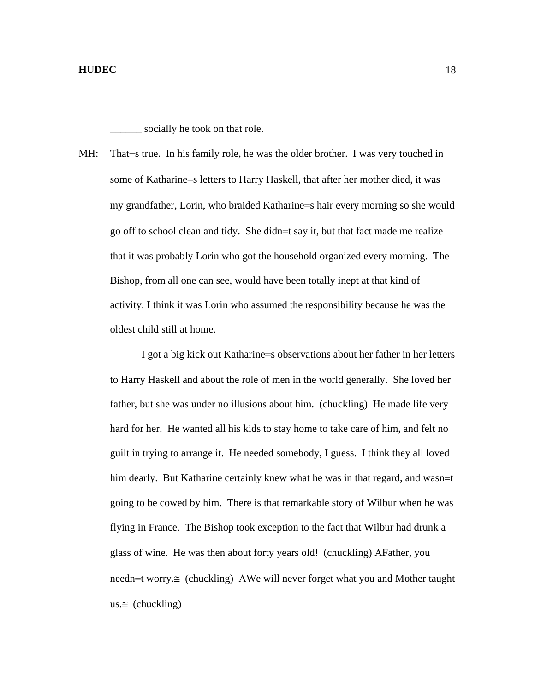socially he took on that role.

MH: That=s true. In his family role, he was the older brother. I was very touched in some of Katharine=s letters to Harry Haskell, that after her mother died, it was my grandfather, Lorin, who braided Katharine=s hair every morning so she would go off to school clean and tidy. She didn=t say it, but that fact made me realize that it was probably Lorin who got the household organized every morning. The Bishop, from all one can see, would have been totally inept at that kind of activity. I think it was Lorin who assumed the responsibility because he was the oldest child still at home.

 I got a big kick out Katharine=s observations about her father in her letters to Harry Haskell and about the role of men in the world generally. She loved her father, but she was under no illusions about him. (chuckling) He made life very hard for her. He wanted all his kids to stay home to take care of him, and felt no guilt in trying to arrange it. He needed somebody, I guess. I think they all loved him dearly. But Katharine certainly knew what he was in that regard, and wasn=t going to be cowed by him. There is that remarkable story of Wilbur when he was flying in France. The Bishop took exception to the fact that Wilbur had drunk a glass of wine. He was then about forty years old! (chuckling) ΑFather, you needn=t worry.≅ (chuckling) ΑWe will never forget what you and Mother taught us. $\cong$  (chuckling)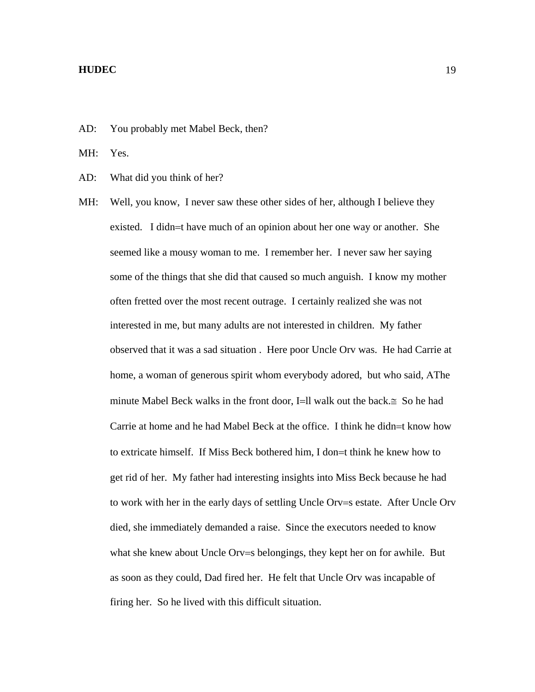AD: You probably met Mabel Beck, then?

MH: Yes.

AD: What did you think of her?

MH: Well, you know, I never saw these other sides of her, although I believe they existed. I didn=t have much of an opinion about her one way or another. She seemed like a mousy woman to me. I remember her. I never saw her saying some of the things that she did that caused so much anguish. I know my mother often fretted over the most recent outrage. I certainly realized she was not interested in me, but many adults are not interested in children. My father observed that it was a sad situation . Here poor Uncle Orv was. He had Carrie at home, a woman of generous spirit whom everybody adored, but who said, ΑThe minute Mabel Beck walks in the front door, I=ll walk out the back. $\cong$  So he had Carrie at home and he had Mabel Beck at the office. I think he didn=t know how to extricate himself. If Miss Beck bothered him, I don=t think he knew how to get rid of her. My father had interesting insights into Miss Beck because he had to work with her in the early days of settling Uncle Orv=s estate. After Uncle Orv died, she immediately demanded a raise. Since the executors needed to know what she knew about Uncle Orv=s belongings, they kept her on for awhile. But as soon as they could, Dad fired her. He felt that Uncle Orv was incapable of firing her. So he lived with this difficult situation.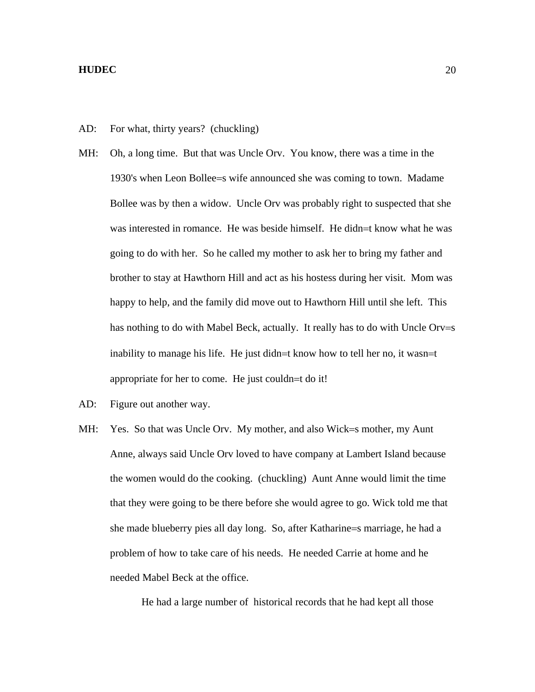- AD: For what, thirty years? (chuckling)
- MH: Oh, a long time. But that was Uncle Orv. You know, there was a time in the 1930's when Leon Bollee=s wife announced she was coming to town. Madame Bollee was by then a widow. Uncle Orv was probably right to suspected that she was interested in romance. He was beside himself. He didn=t know what he was going to do with her. So he called my mother to ask her to bring my father and brother to stay at Hawthorn Hill and act as his hostess during her visit. Mom was happy to help, and the family did move out to Hawthorn Hill until she left. This has nothing to do with Mabel Beck, actually. It really has to do with Uncle Orv=s inability to manage his life. He just didn=t know how to tell her no, it wasn=t appropriate for her to come. He just couldn=t do it!
- AD: Figure out another way.
- MH: Yes. So that was Uncle Orv. My mother, and also Wick=s mother, my Aunt Anne, always said Uncle Orv loved to have company at Lambert Island because the women would do the cooking. (chuckling) Aunt Anne would limit the time that they were going to be there before she would agree to go. Wick told me that she made blueberry pies all day long. So, after Katharine=s marriage, he had a problem of how to take care of his needs. He needed Carrie at home and he needed Mabel Beck at the office.

He had a large number of historical records that he had kept all those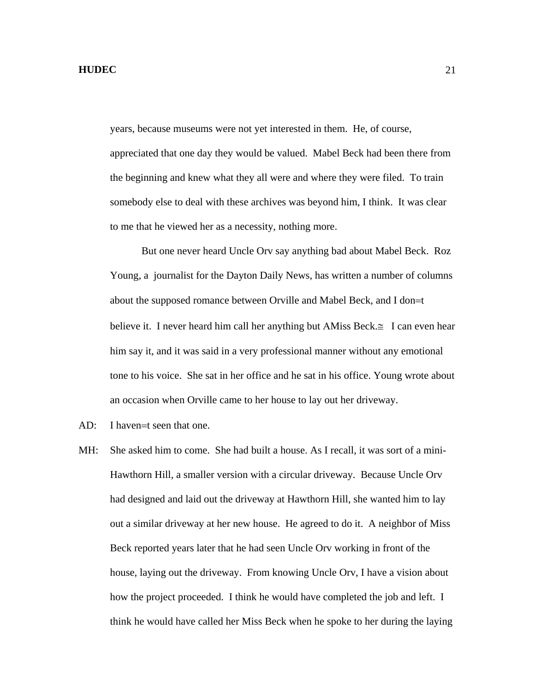years, because museums were not yet interested in them. He, of course, appreciated that one day they would be valued. Mabel Beck had been there from the beginning and knew what they all were and where they were filed. To train somebody else to deal with these archives was beyond him, I think. It was clear to me that he viewed her as a necessity, nothing more.

 But one never heard Uncle Orv say anything bad about Mabel Beck. Roz Young, a journalist for the Dayton Daily News, has written a number of columns about the supposed romance between Orville and Mabel Beck, and I don=t believe it. I never heard him call her anything but ΑMiss Beck.≅ I can even hear him say it, and it was said in a very professional manner without any emotional tone to his voice. She sat in her office and he sat in his office. Young wrote about an occasion when Orville came to her house to lay out her driveway.

- AD: I haven=t seen that one.
- MH: She asked him to come. She had built a house. As I recall, it was sort of a mini-Hawthorn Hill, a smaller version with a circular driveway. Because Uncle Orv had designed and laid out the driveway at Hawthorn Hill, she wanted him to lay out a similar driveway at her new house. He agreed to do it. A neighbor of Miss Beck reported years later that he had seen Uncle Orv working in front of the house, laying out the driveway. From knowing Uncle Orv, I have a vision about how the project proceeded. I think he would have completed the job and left. I think he would have called her Miss Beck when he spoke to her during the laying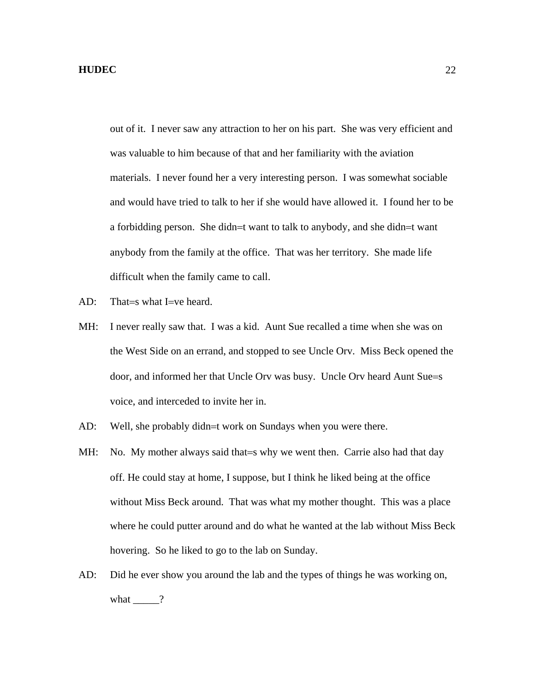out of it. I never saw any attraction to her on his part. She was very efficient and was valuable to him because of that and her familiarity with the aviation materials. I never found her a very interesting person. I was somewhat sociable and would have tried to talk to her if she would have allowed it. I found her to be a forbidding person. She didn=t want to talk to anybody, and she didn=t want anybody from the family at the office. That was her territory. She made life difficult when the family came to call.

- AD: That=s what I=ve heard.
- MH: I never really saw that. I was a kid. Aunt Sue recalled a time when she was on the West Side on an errand, and stopped to see Uncle Orv. Miss Beck opened the door, and informed her that Uncle Orv was busy. Uncle Orv heard Aunt Sue=s voice, and interceded to invite her in.
- AD: Well, she probably didn=t work on Sundays when you were there.
- MH: No. My mother always said that = s why we went then. Carrie also had that day off. He could stay at home, I suppose, but I think he liked being at the office without Miss Beck around. That was what my mother thought. This was a place where he could putter around and do what he wanted at the lab without Miss Beck hovering. So he liked to go to the lab on Sunday.
- AD: Did he ever show you around the lab and the types of things he was working on, what  $\_\_\_\$ ?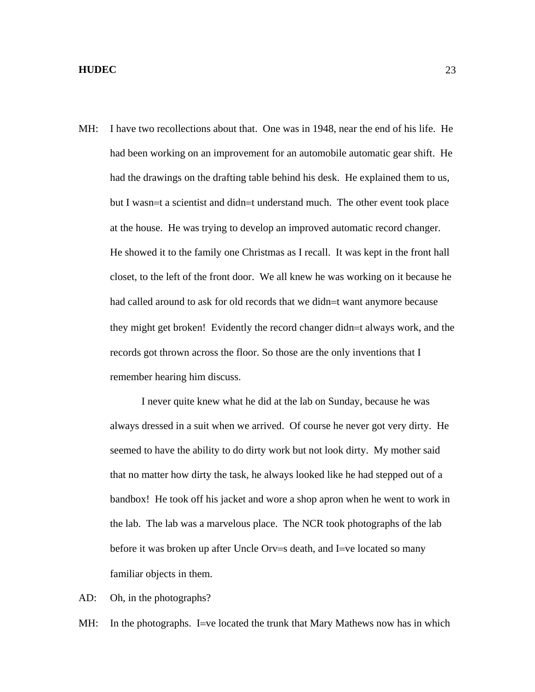MH: I have two recollections about that. One was in 1948, near the end of his life. He had been working on an improvement for an automobile automatic gear shift. He had the drawings on the drafting table behind his desk. He explained them to us, but I wasn=t a scientist and didn=t understand much. The other event took place at the house. He was trying to develop an improved automatic record changer. He showed it to the family one Christmas as I recall. It was kept in the front hall closet, to the left of the front door. We all knew he was working on it because he had called around to ask for old records that we didn=t want anymore because they might get broken! Evidently the record changer didn=t always work, and the records got thrown across the floor. So those are the only inventions that I remember hearing him discuss.

 I never quite knew what he did at the lab on Sunday, because he was always dressed in a suit when we arrived. Of course he never got very dirty. He seemed to have the ability to do dirty work but not look dirty. My mother said that no matter how dirty the task, he always looked like he had stepped out of a bandbox! He took off his jacket and wore a shop apron when he went to work in the lab. The lab was a marvelous place. The NCR took photographs of the lab before it was broken up after Uncle Orv=s death, and I=ve located so many familiar objects in them.

AD: Oh, in the photographs?

MH: In the photographs. I=ve located the trunk that Mary Mathews now has in which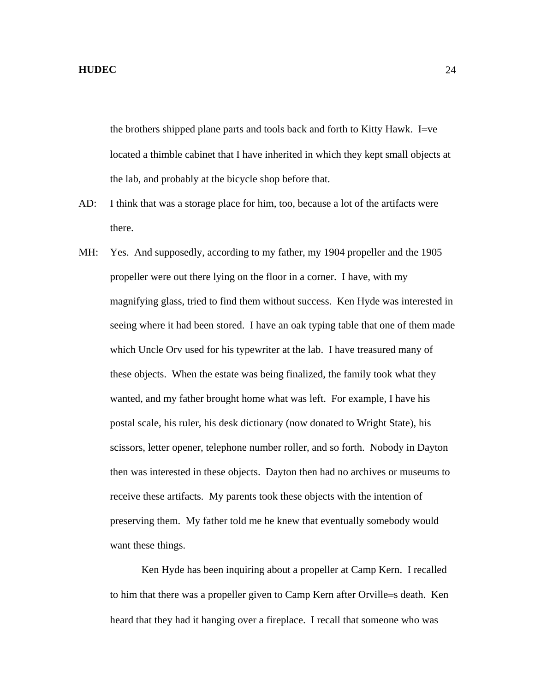the brothers shipped plane parts and tools back and forth to Kitty Hawk. I=ve located a thimble cabinet that I have inherited in which they kept small objects at the lab, and probably at the bicycle shop before that.

- AD: I think that was a storage place for him, too, because a lot of the artifacts were there.
- MH: Yes. And supposedly, according to my father, my 1904 propeller and the 1905 propeller were out there lying on the floor in a corner. I have, with my magnifying glass, tried to find them without success. Ken Hyde was interested in seeing where it had been stored. I have an oak typing table that one of them made which Uncle Orv used for his typewriter at the lab. I have treasured many of these objects. When the estate was being finalized, the family took what they wanted, and my father brought home what was left. For example, I have his postal scale, his ruler, his desk dictionary (now donated to Wright State), his scissors, letter opener, telephone number roller, and so forth. Nobody in Dayton then was interested in these objects. Dayton then had no archives or museums to receive these artifacts. My parents took these objects with the intention of preserving them. My father told me he knew that eventually somebody would want these things.

 Ken Hyde has been inquiring about a propeller at Camp Kern. I recalled to him that there was a propeller given to Camp Kern after Orville=s death. Ken heard that they had it hanging over a fireplace. I recall that someone who was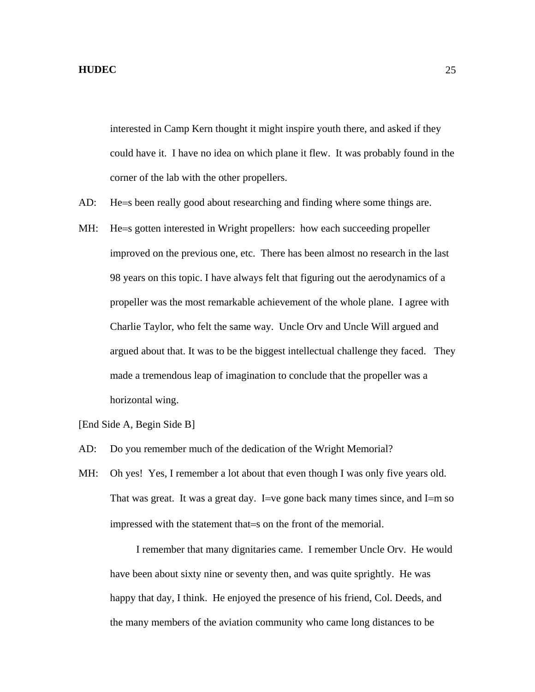interested in Camp Kern thought it might inspire youth there, and asked if they could have it. I have no idea on which plane it flew. It was probably found in the corner of the lab with the other propellers.

- AD: He=s been really good about researching and finding where some things are.
- MH: He=s gotten interested in Wright propellers: how each succeeding propeller improved on the previous one, etc. There has been almost no research in the last 98 years on this topic. I have always felt that figuring out the aerodynamics of a propeller was the most remarkable achievement of the whole plane. I agree with Charlie Taylor, who felt the same way. Uncle Orv and Uncle Will argued and argued about that. It was to be the biggest intellectual challenge they faced. They made a tremendous leap of imagination to conclude that the propeller was a horizontal wing.
- [End Side A, Begin Side B]
- AD: Do you remember much of the dedication of the Wright Memorial?
- MH: Oh yes! Yes, I remember a lot about that even though I was only five years old. That was great. It was a great day. I=ve gone back many times since, and I=m so impressed with the statement that=s on the front of the memorial.

 I remember that many dignitaries came. I remember Uncle Orv. He would have been about sixty nine or seventy then, and was quite sprightly. He was happy that day, I think. He enjoyed the presence of his friend, Col. Deeds, and the many members of the aviation community who came long distances to be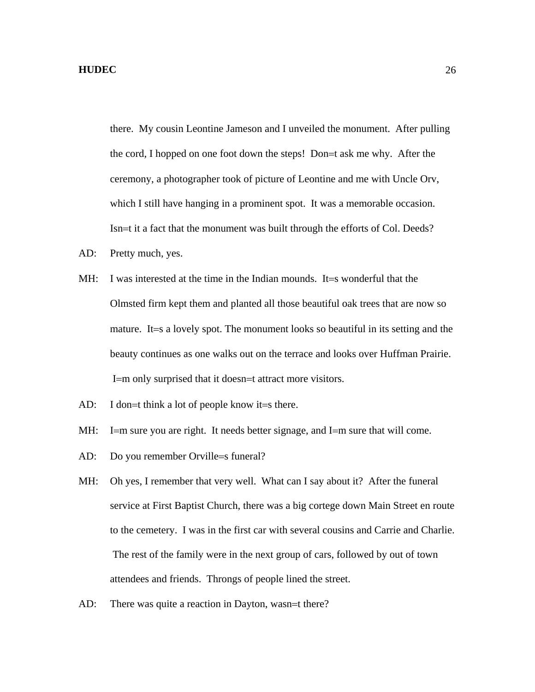there. My cousin Leontine Jameson and I unveiled the monument. After pulling the cord, I hopped on one foot down the steps! Don=t ask me why. After the ceremony, a photographer took of picture of Leontine and me with Uncle Orv, which I still have hanging in a prominent spot. It was a memorable occasion. Isn=t it a fact that the monument was built through the efforts of Col. Deeds?

- AD: Pretty much, yes.
- MH: I was interested at the time in the Indian mounds. It=s wonderful that the Olmsted firm kept them and planted all those beautiful oak trees that are now so mature. It=s a lovely spot. The monument looks so beautiful in its setting and the beauty continues as one walks out on the terrace and looks over Huffman Prairie. I=m only surprised that it doesn=t attract more visitors.
- AD: I don=t think a lot of people know it=s there.
- MH: I=m sure you are right. It needs better signage, and I=m sure that will come.
- AD: Do you remember Orville=s funeral?
- MH: Oh yes, I remember that very well. What can I say about it? After the funeral service at First Baptist Church, there was a big cortege down Main Street en route to the cemetery. I was in the first car with several cousins and Carrie and Charlie. The rest of the family were in the next group of cars, followed by out of town attendees and friends. Throngs of people lined the street.
- AD: There was quite a reaction in Dayton, wasn=t there?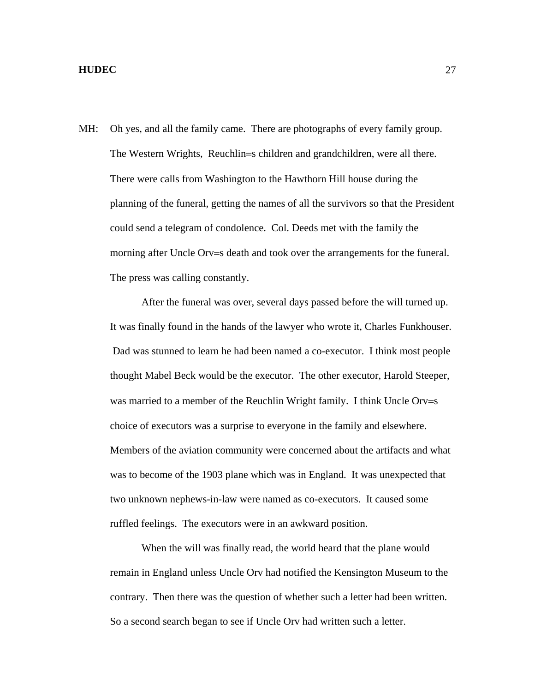MH: Oh yes, and all the family came. There are photographs of every family group. The Western Wrights, Reuchlin=s children and grandchildren, were all there. There were calls from Washington to the Hawthorn Hill house during the planning of the funeral, getting the names of all the survivors so that the President could send a telegram of condolence. Col. Deeds met with the family the morning after Uncle Orv=s death and took over the arrangements for the funeral. The press was calling constantly.

 After the funeral was over, several days passed before the will turned up. It was finally found in the hands of the lawyer who wrote it, Charles Funkhouser. Dad was stunned to learn he had been named a co-executor. I think most people thought Mabel Beck would be the executor. The other executor, Harold Steeper, was married to a member of the Reuchlin Wright family. I think Uncle Orv=s choice of executors was a surprise to everyone in the family and elsewhere. Members of the aviation community were concerned about the artifacts and what was to become of the 1903 plane which was in England. It was unexpected that two unknown nephews-in-law were named as co-executors. It caused some ruffled feelings. The executors were in an awkward position.

 When the will was finally read, the world heard that the plane would remain in England unless Uncle Orv had notified the Kensington Museum to the contrary. Then there was the question of whether such a letter had been written. So a second search began to see if Uncle Orv had written such a letter.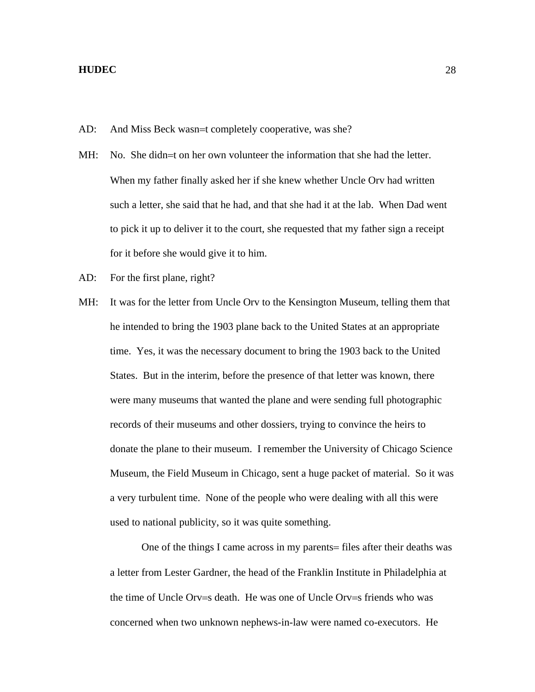- AD: And Miss Beck wasn=t completely cooperative, was she?
- MH: No. She didn=t on her own volunteer the information that she had the letter. When my father finally asked her if she knew whether Uncle Orv had written such a letter, she said that he had, and that she had it at the lab. When Dad went to pick it up to deliver it to the court, she requested that my father sign a receipt for it before she would give it to him.
- AD: For the first plane, right?
- MH: It was for the letter from Uncle Orv to the Kensington Museum, telling them that he intended to bring the 1903 plane back to the United States at an appropriate time. Yes, it was the necessary document to bring the 1903 back to the United States. But in the interim, before the presence of that letter was known, there were many museums that wanted the plane and were sending full photographic records of their museums and other dossiers, trying to convince the heirs to donate the plane to their museum. I remember the University of Chicago Science Museum, the Field Museum in Chicago, sent a huge packet of material. So it was a very turbulent time. None of the people who were dealing with all this were used to national publicity, so it was quite something.

 One of the things I came across in my parents= files after their deaths was a letter from Lester Gardner, the head of the Franklin Institute in Philadelphia at the time of Uncle Orv=s death. He was one of Uncle Orv=s friends who was concerned when two unknown nephews-in-law were named co-executors. He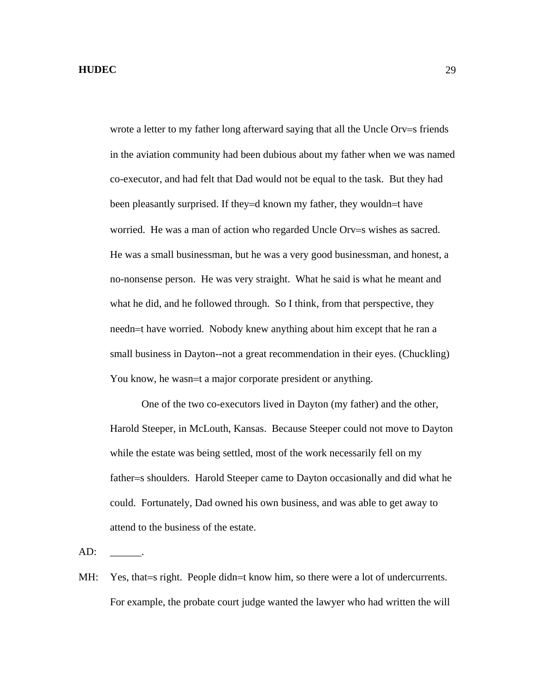wrote a letter to my father long afterward saying that all the Uncle Orv=s friends in the aviation community had been dubious about my father when we was named co-executor, and had felt that Dad would not be equal to the task. But they had been pleasantly surprised. If they=d known my father, they wouldn=t have worried. He was a man of action who regarded Uncle Orv=s wishes as sacred. He was a small businessman, but he was a very good businessman, and honest, a no-nonsense person. He was very straight. What he said is what he meant and what he did, and he followed through. So I think, from that perspective, they needn=t have worried. Nobody knew anything about him except that he ran a small business in Dayton--not a great recommendation in their eyes. (Chuckling) You know, he wasn=t a major corporate president or anything.

 One of the two co-executors lived in Dayton (my father) and the other, Harold Steeper, in McLouth, Kansas. Because Steeper could not move to Dayton while the estate was being settled, most of the work necessarily fell on my father=s shoulders. Harold Steeper came to Dayton occasionally and did what he could. Fortunately, Dad owned his own business, and was able to get away to attend to the business of the estate.

 $AD:$ 

MH: Yes, that = s right. People didn = t know him, so there were a lot of undercurrents. For example, the probate court judge wanted the lawyer who had written the will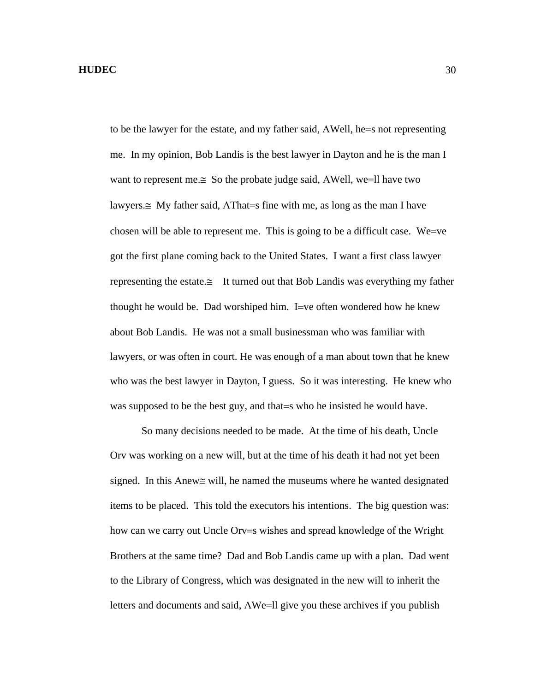to be the lawyer for the estate, and my father said, ΑWell, he=s not representing me. In my opinion, Bob Landis is the best lawyer in Dayton and he is the man I want to represent me.≅ So the probate judge said, AWell, we=ll have two lawyers.≅ My father said, ΑThat=s fine with me, as long as the man I have chosen will be able to represent me. This is going to be a difficult case. We=ve got the first plane coming back to the United States. I want a first class lawyer representing the estate. $\cong$  It turned out that Bob Landis was everything my father thought he would be. Dad worshiped him. I=ve often wondered how he knew about Bob Landis. He was not a small businessman who was familiar with lawyers, or was often in court. He was enough of a man about town that he knew who was the best lawyer in Dayton, I guess. So it was interesting. He knew who was supposed to be the best guy, and that = s who he insisted he would have.

 So many decisions needed to be made. At the time of his death, Uncle Orv was working on a new will, but at the time of his death it had not yet been signed. In this Αnew≅ will, he named the museums where he wanted designated items to be placed. This told the executors his intentions. The big question was: how can we carry out Uncle Orv=s wishes and spread knowledge of the Wright Brothers at the same time? Dad and Bob Landis came up with a plan. Dad went to the Library of Congress, which was designated in the new will to inherit the letters and documents and said, ΑWe=ll give you these archives if you publish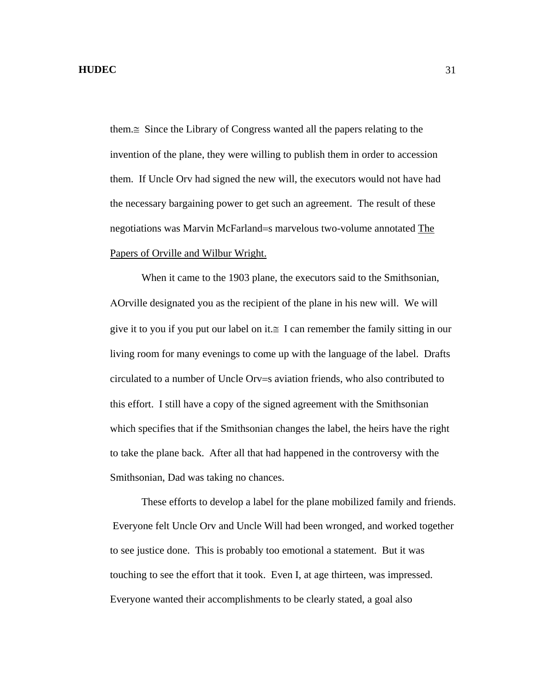them.≅ Since the Library of Congress wanted all the papers relating to the invention of the plane, they were willing to publish them in order to accession them. If Uncle Orv had signed the new will, the executors would not have had the necessary bargaining power to get such an agreement. The result of these negotiations was Marvin McFarland=s marvelous two-volume annotated The Papers of Orville and Wilbur Wright.

 When it came to the 1903 plane, the executors said to the Smithsonian, ΑOrville designated you as the recipient of the plane in his new will. We will give it to you if you put our label on it. $\cong$  I can remember the family sitting in our living room for many evenings to come up with the language of the label. Drafts circulated to a number of Uncle Orv=s aviation friends, who also contributed to this effort. I still have a copy of the signed agreement with the Smithsonian which specifies that if the Smithsonian changes the label, the heirs have the right to take the plane back. After all that had happened in the controversy with the Smithsonian, Dad was taking no chances.

 These efforts to develop a label for the plane mobilized family and friends. Everyone felt Uncle Orv and Uncle Will had been wronged, and worked together to see justice done. This is probably too emotional a statement. But it was touching to see the effort that it took. Even I, at age thirteen, was impressed. Everyone wanted their accomplishments to be clearly stated, a goal also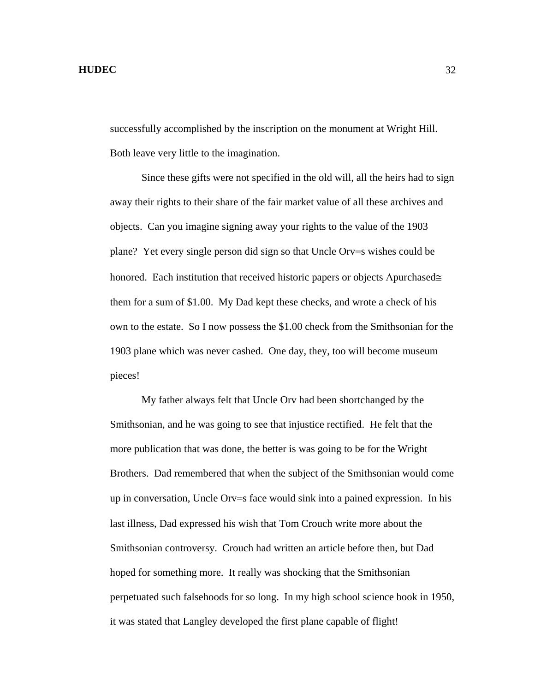successfully accomplished by the inscription on the monument at Wright Hill. Both leave very little to the imagination.

 Since these gifts were not specified in the old will, all the heirs had to sign away their rights to their share of the fair market value of all these archives and objects. Can you imagine signing away your rights to the value of the 1903 plane? Yet every single person did sign so that Uncle Orv=s wishes could be honored. Each institution that received historic papers or objects Αpurchased≅ them for a sum of \$1.00. My Dad kept these checks, and wrote a check of his own to the estate. So I now possess the \$1.00 check from the Smithsonian for the 1903 plane which was never cashed. One day, they, too will become museum pieces!

 My father always felt that Uncle Orv had been shortchanged by the Smithsonian, and he was going to see that injustice rectified. He felt that the more publication that was done, the better is was going to be for the Wright Brothers. Dad remembered that when the subject of the Smithsonian would come up in conversation, Uncle Orv=s face would sink into a pained expression. In his last illness, Dad expressed his wish that Tom Crouch write more about the Smithsonian controversy. Crouch had written an article before then, but Dad hoped for something more. It really was shocking that the Smithsonian perpetuated such falsehoods for so long. In my high school science book in 1950, it was stated that Langley developed the first plane capable of flight!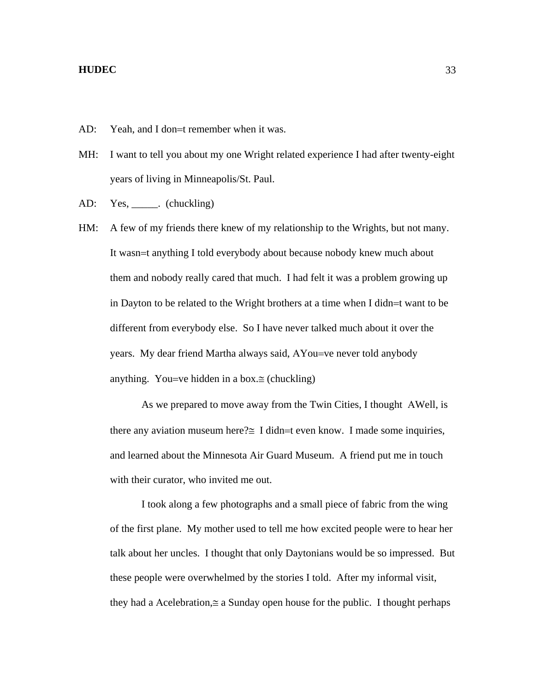AD: Yeah, and I don=t remember when it was.

- MH: I want to tell you about my one Wright related experience I had after twenty-eight years of living in Minneapolis/St. Paul.
- AD: Yes, \_\_\_\_\_\_. (chuckling)
- HM: A few of my friends there knew of my relationship to the Wrights, but not many. It wasn=t anything I told everybody about because nobody knew much about them and nobody really cared that much. I had felt it was a problem growing up in Dayton to be related to the Wright brothers at a time when I didn=t want to be different from everybody else. So I have never talked much about it over the years. My dear friend Martha always said, ΑYou=ve never told anybody anything. You=ve hidden in a box. $\cong$  (chuckling)

As we prepared to move away from the Twin Cities, I thought AWell, is there any aviation museum here? $\cong$  I didn=t even know. I made some inquiries, and learned about the Minnesota Air Guard Museum. A friend put me in touch with their curator, who invited me out.

 I took along a few photographs and a small piece of fabric from the wing of the first plane. My mother used to tell me how excited people were to hear her talk about her uncles. I thought that only Daytonians would be so impressed. But these people were overwhelmed by the stories I told. After my informal visit, they had a Αcelebration,≅ a Sunday open house for the public. I thought perhaps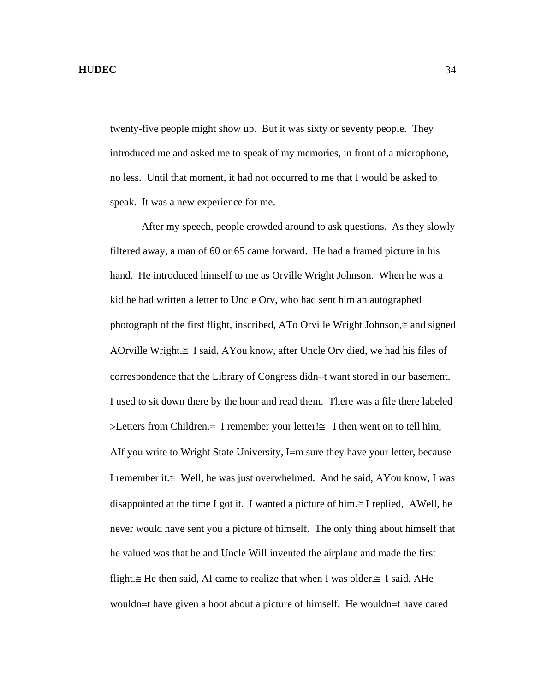twenty-five people might show up. But it was sixty or seventy people. They introduced me and asked me to speak of my memories, in front of a microphone, no less. Until that moment, it had not occurred to me that I would be asked to speak. It was a new experience for me.

 After my speech, people crowded around to ask questions. As they slowly filtered away, a man of 60 or 65 came forward. He had a framed picture in his hand. He introduced himself to me as Orville Wright Johnson. When he was a kid he had written a letter to Uncle Orv, who had sent him an autographed photograph of the first flight, inscribed, ΑTo Orville Wright Johnson,≅ and signed ΑOrville Wright.≅ I said, ΑYou know, after Uncle Orv died, we had his files of correspondence that the Library of Congress didn=t want stored in our basement. I used to sit down there by the hour and read them. There was a file there labeled >Letters from Children.= I remember your letter!≅ I then went on to tell him, ΑIf you write to Wright State University, I=m sure they have your letter, because I remember it.≅ Well, he was just overwhelmed. And he said, ΑYou know, I was disappointed at the time I got it. I wanted a picture of him.≅ I replied, ΑWell, he never would have sent you a picture of himself. The only thing about himself that he valued was that he and Uncle Will invented the airplane and made the first flight.≅ He then said, ΑI came to realize that when I was older.≅ I said, ΑHe wouldn=t have given a hoot about a picture of himself. He wouldn=t have cared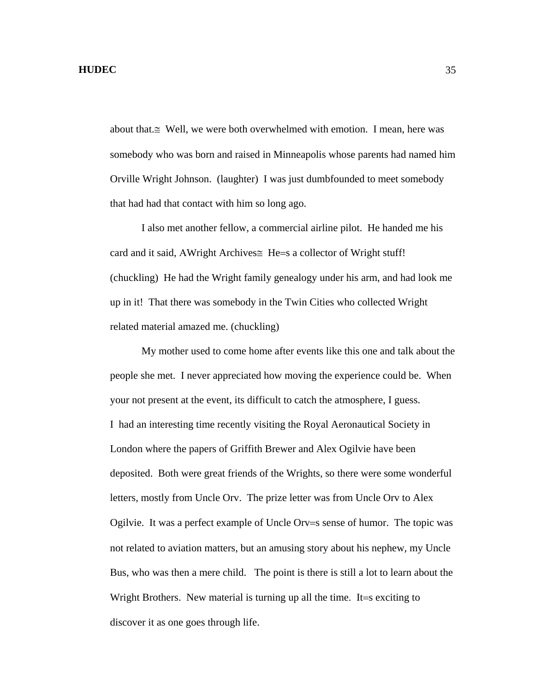about that. $\cong$  Well, we were both overwhelmed with emotion. I mean, here was somebody who was born and raised in Minneapolis whose parents had named him Orville Wright Johnson. (laughter) I was just dumbfounded to meet somebody that had had that contact with him so long ago.

 I also met another fellow, a commercial airline pilot. He handed me his card and it said, AWright Archives≅ He=s a collector of Wright stuff! (chuckling) He had the Wright family genealogy under his arm, and had look me up in it! That there was somebody in the Twin Cities who collected Wright related material amazed me. (chuckling)

 My mother used to come home after events like this one and talk about the people she met. I never appreciated how moving the experience could be. When your not present at the event, its difficult to catch the atmosphere, I guess. I had an interesting time recently visiting the Royal Aeronautical Society in London where the papers of Griffith Brewer and Alex Ogilvie have been deposited. Both were great friends of the Wrights, so there were some wonderful letters, mostly from Uncle Orv. The prize letter was from Uncle Orv to Alex Ogilvie. It was a perfect example of Uncle Orv=s sense of humor. The topic was not related to aviation matters, but an amusing story about his nephew, my Uncle Bus, who was then a mere child. The point is there is still a lot to learn about the Wright Brothers. New material is turning up all the time. It=s exciting to discover it as one goes through life.